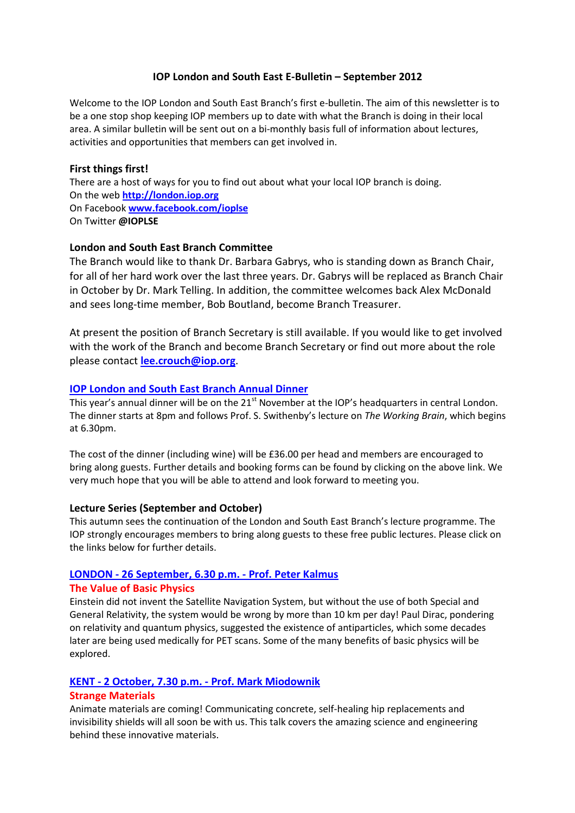# IOP London and South East E-Bulletin – September 2012

Welcome to the IOP London and South East Branch's first e-bulletin. The aim of this newsletter is to be a one stop shop keeping IOP members up to date with what the Branch is doing in their local area. A similar bulletin will be sent out on a bi-monthly basis full of information about lectures, activities and opportunities that members can get involved in.

### First things first!

There are a host of ways for you to find out about what your local IOP branch is doing. On the web http://london.iop.org On Facebook www.facebook.com/ioplse On Twitter @IOPLSE

# London and South East Branch Committee

The Branch would like to thank Dr. Barbara Gabrys, who is standing down as Branch Chair, for all of her hard work over the last three years. Dr. Gabrys will be replaced as Branch Chair in October by Dr. Mark Telling. In addition, the committee welcomes back Alex McDonald and sees long-time member, Bob Boutland, become Branch Treasurer.

At present the position of Branch Secretary is still available. If you would like to get involved with the work of the Branch and become Branch Secretary or find out more about the role please contact lee.crouch@iop.org.

# IOP London and South East Branch Annual Dinner

This year's annual dinner will be on the 21<sup>st</sup> November at the IOP's headquarters in central London. The dinner starts at 8pm and follows Prof. S. Swithenby's lecture on The Working Brain, which begins at 6.30pm.

The cost of the dinner (including wine) will be £36.00 per head and members are encouraged to bring along guests. Further details and booking forms can be found by clicking on the above link. We very much hope that you will be able to attend and look forward to meeting you.

#### Lecture Series (September and October)

This autumn sees the continuation of the London and South East Branch's lecture programme. The IOP strongly encourages members to bring along guests to these free public lectures. Please click on the links below for further details.

# LONDON - 26 September, 6.30 p.m. - Prof. Peter Kalmus

#### The Value of Basic Physics

Einstein did not invent the Satellite Navigation System, but without the use of both Special and General Relativity, the system would be wrong by more than 10 km per day! Paul Dirac, pondering on relativity and quantum physics, suggested the existence of antiparticles, which some decades later are being used medically for PET scans. Some of the many benefits of basic physics will be explored.

# KENT - 2 October, 7.30 p.m. - Prof. Mark Miodownik

# Strange Materials

Animate materials are coming! Communicating concrete, self-healing hip replacements and invisibility shields will all soon be with us. This talk covers the amazing science and engineering behind these innovative materials.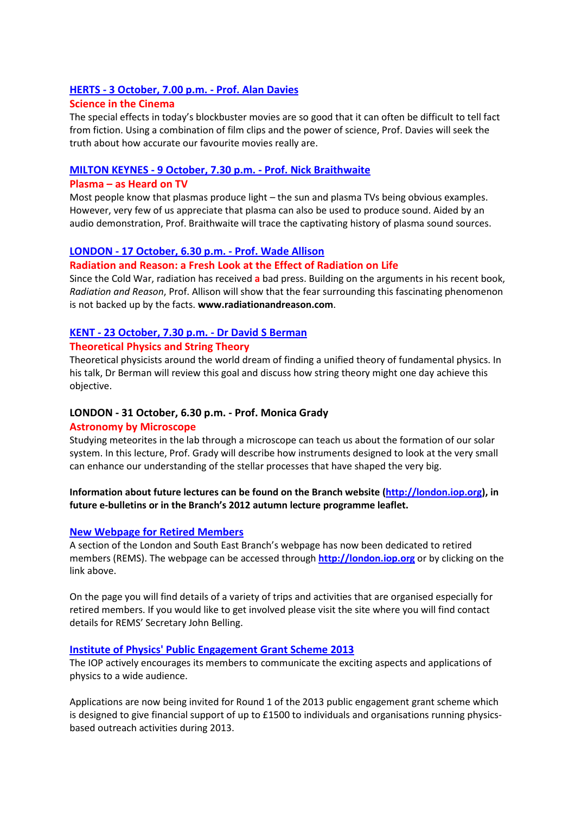### HERTS - 3 October, 7.00 p.m. - Prof. Alan Davies

#### Science in the Cinema

The special effects in today's blockbuster movies are so good that it can often be difficult to tell fact from fiction. Using a combination of film clips and the power of science, Prof. Davies will seek the truth about how accurate our favourite movies really are.

#### MILTON KEYNES - 9 October, 7.30 p.m. - Prof. Nick Braithwaite

#### Plasma – as Heard on TV

Most people know that plasmas produce light – the sun and plasma TVs being obvious examples. However, very few of us appreciate that plasma can also be used to produce sound. Aided by an audio demonstration, Prof. Braithwaite will trace the captivating history of plasma sound sources.

# LONDON - 17 October, 6.30 p.m. - Prof. Wade Allison

#### Radiation and Reason: a Fresh Look at the Effect of Radiation on Life

Since the Cold War, radiation has received a bad press. Building on the arguments in his recent book, Radiation and Reason, Prof. Allison will show that the fear surrounding this fascinating phenomenon is not backed up by the facts. www.radiationandreason.com.

# KENT - 23 October, 7.30 p.m. - Dr David S Berman

#### Theoretical Physics and String Theory

Theoretical physicists around the world dream of finding a unified theory of fundamental physics. In his talk, Dr Berman will review this goal and discuss how string theory might one day achieve this objective.

# LONDON - 31 October, 6.30 p.m. - Prof. Monica Grady

#### Astronomy by Microscope

Studying meteorites in the lab through a microscope can teach us about the formation of our solar system. In this lecture, Prof. Grady will describe how instruments designed to look at the very small can enhance our understanding of the stellar processes that have shaped the very big.

#### Information about future lectures can be found on the Branch website (http://london.iop.org), in future e-bulletins or in the Branch's 2012 autumn lecture programme leaflet.

#### New Webpage for Retired Members

A section of the London and South East Branch's webpage has now been dedicated to retired members (REMS). The webpage can be accessed through http://london.iop.org or by clicking on the link above.

On the page you will find details of a variety of trips and activities that are organised especially for retired members. If you would like to get involved please visit the site where you will find contact details for REMS' Secretary John Belling.

#### Institute of Physics' Public Engagement Grant Scheme 2013

The IOP actively encourages its members to communicate the exciting aspects and applications of physics to a wide audience.

Applications are now being invited for Round 1 of the 2013 public engagement grant scheme which is designed to give financial support of up to £1500 to individuals and organisations running physicsbased outreach activities during 2013.